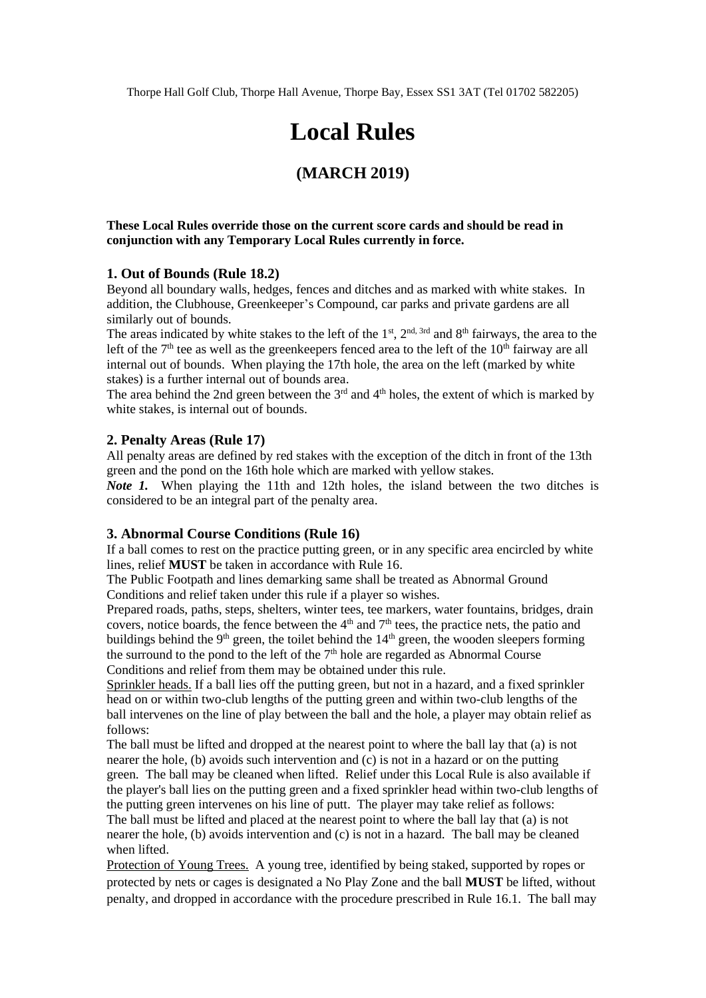Thorpe Hall Golf Club, Thorpe Hall Avenue, Thorpe Bay, Essex SS1 3AT (Tel 01702 582205)

# **Local Rules**

# **(MARCH 2019)**

#### **These Local Rules override those on the current score cards and should be read in conjunction with any Temporary Local Rules currently in force.**

#### **1. Out of Bounds (Rule 18.2)**

Beyond all boundary walls, hedges, fences and ditches and as marked with white stakes. In addition, the Clubhouse, Greenkeeper's Compound, car parks and private gardens are all similarly out of bounds.

The areas indicated by white stakes to the left of the  $1<sup>st</sup>$ ,  $2<sup>nd</sup>$ ,  $3<sup>rd</sup>$  and  $8<sup>th</sup>$  fairways, the area to the left of the  $7<sup>th</sup>$  tee as well as the greenkeepers fenced area to the left of the  $10<sup>th</sup>$  fairway are all internal out of bounds. When playing the 17th hole, the area on the left (marked by white stakes) is a further internal out of bounds area.

The area behind the 2nd green between the  $3<sup>rd</sup>$  and  $4<sup>th</sup>$  holes, the extent of which is marked by white stakes, is internal out of bounds.

#### **2. Penalty Areas (Rule 17)**

All penalty areas are defined by red stakes with the exception of the ditch in front of the 13th green and the pond on the 16th hole which are marked with yellow stakes.

*Note 1.* When playing the 11th and 12th holes, the island between the two ditches is considered to be an integral part of the penalty area.

#### **3. Abnormal Course Conditions (Rule 16)**

If a ball comes to rest on the practice putting green, or in any specific area encircled by white lines, relief **MUST** be taken in accordance with Rule 16.

The Public Footpath and lines demarking same shall be treated as Abnormal Ground Conditions and relief taken under this rule if a player so wishes.

Prepared roads, paths, steps, shelters, winter tees, tee markers, water fountains, bridges, drain covers, notice boards, the fence between the  $4<sup>th</sup>$  and  $7<sup>th</sup>$  tees, the practice nets, the patio and buildings behind the 9<sup>th</sup> green, the toilet behind the 14<sup>th</sup> green, the wooden sleepers forming the surround to the pond to the left of the  $7<sup>th</sup>$  hole are regarded as Abnormal Course Conditions and relief from them may be obtained under this rule.

Sprinkler heads. If a ball lies off the putting green, but not in a hazard, and a fixed sprinkler head on or within two-club lengths of the putting green and within two-club lengths of the ball intervenes on the line of play between the ball and the hole, a player may obtain relief as follows:

The ball must be lifted and dropped at the nearest point to where the ball lay that (a) is not nearer the hole, (b) avoids such intervention and (c) is not in a hazard or on the putting green. The ball may be cleaned when lifted. Relief under this Local Rule is also available if the player's ball lies on the putting green and a fixed sprinkler head within two-club lengths of the putting green intervenes on his line of putt. The player may take relief as follows:

The ball must be lifted and placed at the nearest point to where the ball lay that (a) is not nearer the hole, (b) avoids intervention and (c) is not in a hazard. The ball may be cleaned when lifted.

Protection of Young Trees. A young tree, identified by being staked, supported by ropes or protected by nets or cages is designated a No Play Zone and the ball **MUST** be lifted, without penalty, and dropped in accordance with the procedure prescribed in Rule 16.1. The ball may